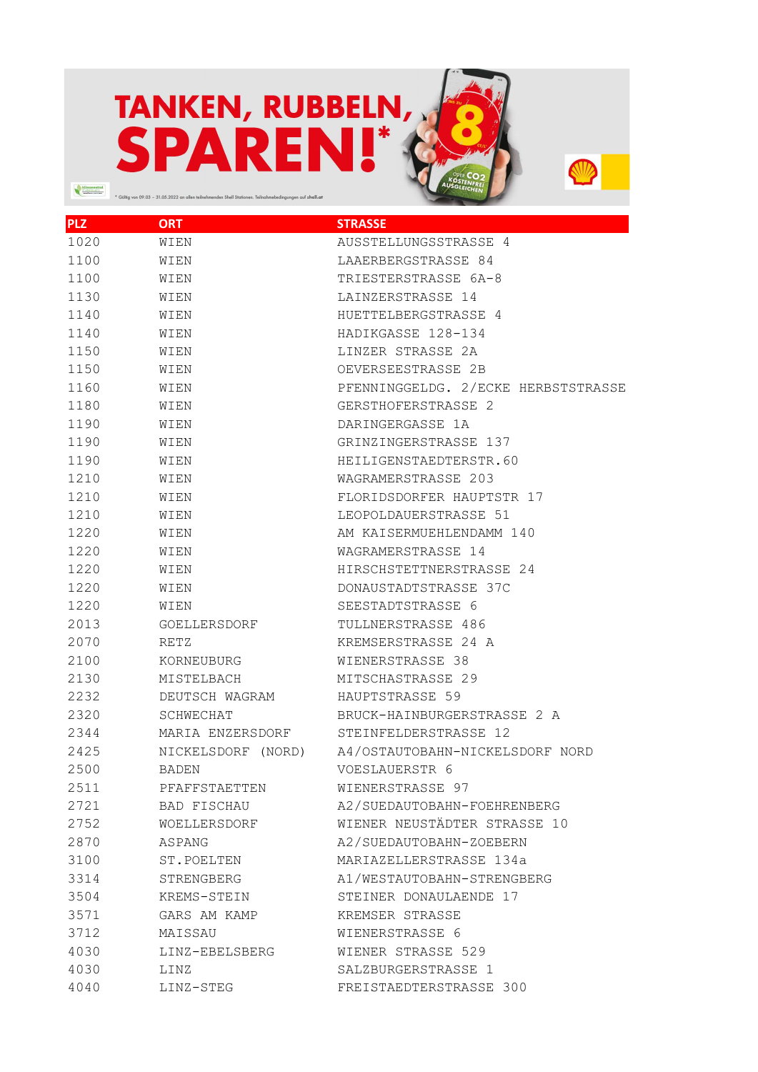## TANKEN, RUBBELN,  $\begin{picture}(100,10) \put(0,0){\line(1,0){10}} \put(0,0){\line(1,0){10}} \put(0,0){\line(1,0){10}} \put(0,0){\line(1,0){10}} \put(0,0){\line(1,0){10}} \put(0,0){\line(1,0){10}} \put(0,0){\line(1,0){10}} \put(0,0){\line(1,0){10}} \put(0,0){\line(1,0){10}} \put(0,0){\line(1,0){10}} \put(0,0){\line(1,0){10}} \put(0,0){\line(1,0){10}} \put(0$ nen. Teilnahmebedingungen auf s<mark>hell.at</mark>

**STIP** 

| <b>PLZ</b> | ORT                | STRASSE                             |
|------------|--------------------|-------------------------------------|
| 1020       | WIEN               | AUSSTELLUNGSSTRASSE 4               |
| 1100       | WIEN               | LAAERBERGSTRASSE 84                 |
| 1100       | WIEN               | TRIESTERSTRASSE 6A-8                |
| 1130       | WIEN               | LAINZERSTRASSE 14                   |
| 1140       | WIEN               | HUETTELBERGSTRASSE 4                |
| 1140       | WIEN               | HADIKGASSE 128-134                  |
| 1150       | WIEN               | LINZER STRASSE 2A                   |
| 1150       | WIEN               | OEVERSEESTRASSE 2B                  |
| 1160       | WIEN               | PFENNINGGELDG. 2/ECKE HERBSTSTRASSE |
| 1180       | WIEN               | GERSTHOFERSTRASSE 2                 |
| 1190       | WIEN               | DARINGERGASSE 1A                    |
| 1190       | WIEN               | GRINZINGERSTRASSE 137               |
| 1190       | WIEN               | HEILIGENSTAEDTERSTR.60              |
| 1210       | WIEN               | WAGRAMERSTRASSE 203                 |
| 1210       | <b>WTEN</b>        | FLORIDSDORFER HAUPTSTR 17           |
| 1210       | WIEN               | LEOPOLDAUERSTRASSE 51               |
| 1220       | WIEN               | AM KAISERMUEHLENDAMM 140            |
| 1220       | WIEN               | WAGRAMERSTRASSE 14                  |
| 1220       | WIEN               | HIRSCHSTETTNERSTRASSE 24            |
| 1220       | WIEN               | DONAUSTADTSTRASSE 37C               |
| 1220       | WIEN               | SEESTADTSTRASSE 6                   |
| 2013       | GOELLERSDORF       | TULLNERSTRASSE 486                  |
| 2070       | RETZ               | KREMSERSTRASSE 24 A                 |
| 2100       | KORNEUBURG         | WIENERSTRASSE 38                    |
| 2130       | MISTELBACH         | MITSCHASTRASSE 29                   |
| 2232       | DEUTSCH WAGRAM     | HAUPTSTRASSE 59                     |
| 2320       | SCHWECHAT          | BRUCK-HAINBURGERSTRASSE 2 A         |
| 2344       | MARIA ENZERSDORF   | STEINFELDERSTRASSE 12               |
| 2425       | NICKELSDORF (NORD) | A4/OSTAUTOBAHN-NICKELSDORF NORD     |
| 2500       | BADEN              | VOESLAUERSTR 6                      |
| 2511       | PFAFFSTAETTEN      | WIENERSTRASSE 97                    |
| 2721       | BAD FISCHAU        | A2/SUEDAUTOBAHN-FOEHRENBERG         |
| 2752       | WOELLERSDORF       | WIENER NEUSTÄDTER STRASSE 10        |
| 2870       | ASPANG             | A2/SUEDAUTOBAHN-ZOEBERN             |
| 3100       | ST.POELTEN         | MARIAZELLERSTRASSE 134a             |
| 3314       | STRENGBERG         | A1/WESTAUTOBAHN-STRENGBERG          |
| 3504       | KREMS-STEIN        | STEINER DONAULAENDE 17              |
| 3571       | GARS AM KAMP       | KREMSER STRASSE                     |
| 3712       | MAISSAU            | WIENERSTRASSE 6                     |
| 4030       | LINZ-EBELSBERG     | WIENER STRASSE 529                  |
| 4030       | LINZ               | SALZBURGERSTRASSE 1                 |
| 4040       | LINZ-STEG          | FREISTAEDTERSTRASSE 300             |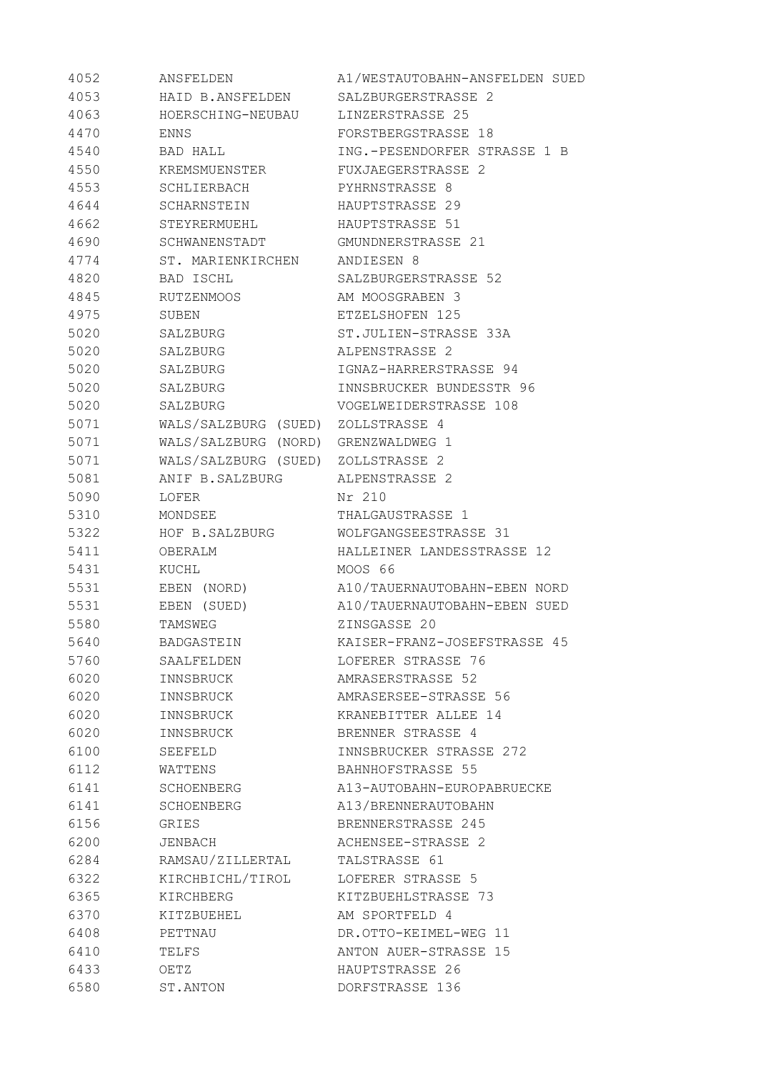| 4052 | ANSFELDEN                           | A1/WESTAUTOBAHN-ANSFELDEN SUED |
|------|-------------------------------------|--------------------------------|
| 4053 | HAID B.ANSFELDEN                    | SALZBURGERSTRASSE 2            |
| 4063 | HOERSCHING-NEUBAU LINZERSTRASSE 25  |                                |
| 4470 | ENNS                                | FORSTBERGSTRASSE 18            |
| 4540 | BAD HALL                            | ING.-PESENDORFER STRASSE 1 B   |
| 4550 | KREMSMUENSTER                       | FUXJAEGERSTRASSE 2             |
| 4553 | SCHLIERBACH                         | PYHRNSTRASSE 8                 |
| 4644 | SCHARNSTEIN                         | HAUPTSTRASSE 29                |
| 4662 | STEYRERMUEHL                        | HAUPTSTRASSE 51                |
| 4690 | SCHWANENSTADT                       | GMUNDNERSTRASSE 21             |
| 4774 | ST. MARIENKIRCHEN ANDIESEN 8        |                                |
| 4820 | BAD ISCHL                           | SALZBURGERSTRASSE 52           |
| 4845 | RUTZENMOOS                          | AM MOOSGRABEN 3                |
| 4975 | SUBEN                               | ETZELSHOFEN 125                |
| 5020 | SALZBURG                            | ST.JULIEN-STRASSE 33A          |
| 5020 | SALZBURG                            | ALPENSTRASSE 2                 |
| 5020 | SALZBURG                            | IGNAZ-HARRERSTRASSE 94         |
| 5020 | SALZBURG                            | INNSBRUCKER BUNDESSTR 96       |
| 5020 | SALZBURG                            | VOGELWEIDERSTRASSE 108         |
| 5071 | WALS/SALZBURG (SUED) ZOLLSTRASSE 4  |                                |
| 5071 | WALS/SALZBURG (NORD) GRENZWALDWEG 1 |                                |
| 5071 | WALS/SALZBURG (SUED) ZOLLSTRASSE 2  |                                |
| 5081 | ANIF B.SALZBURG ALPENSTRASSE 2      |                                |
| 5090 | LOFER                               | Nr 210                         |
| 5310 | MONDSEE                             | THALGAUSTRASSE 1               |
| 5322 | HOF B.SALZBURG                      | WOLFGANGSEESTRASSE 31          |
| 5411 | OBERALM                             | HALLEINER LANDESSTRASSE 12     |
| 5431 | KUCHL                               | MOOS 66                        |
| 5531 | EBEN (NORD)                         | A10/TAUERNAUTOBAHN-EBEN NORD   |
| 5531 | EBEN (SUED)                         | A10/TAUERNAUTOBAHN-EBEN SUED   |
| 5580 | TAMSWEG                             | ZINSGASSE 20                   |
| 5640 | BADGASTEIN                          | KAISER-FRANZ-JOSEFSTRASSE 45   |
| 5760 | SAALFELDEN                          | LOFERER STRASSE 76             |
| 6020 | INNSBRUCK                           | AMRASERSTRASSE 52              |
| 6020 | INNSBRUCK                           | AMRASERSEE-STRASSE 56          |
| 6020 | INNSBRUCK                           | KRANEBITTER ALLEE 14           |
| 6020 | INNSBRUCK                           | BRENNER STRASSE 4              |
| 6100 | SEEFELD                             | INNSBRUCKER STRASSE 272        |
| 6112 | WATTENS                             | BAHNHOFSTRASSE 55              |
| 6141 | SCHOENBERG                          | A13-AUTOBAHN-EUROPABRUECKE     |
| 6141 | SCHOENBERG                          | A13/BRENNERAUTOBAHN            |
| 6156 | GRIES                               | BRENNERSTRASSE 245             |
| 6200 | JENBACH                             | ACHENSEE-STRASSE 2             |
| 6284 | RAMSAU/ZILLERTAL                    | TALSTRASSE 61                  |
| 6322 | KIRCHBICHL/TIROL                    | LOFERER STRASSE 5              |
| 6365 | KIRCHBERG                           | KITZBUEHLSTRASSE 73            |
| 6370 | KITZBUEHEL                          | AM SPORTFELD 4                 |
| 6408 | PETTNAU                             | DR.OTTO-KEIMEL-WEG 11          |
| 6410 | TELFS                               | <b>ANTON AUER-STRASSE 15</b>   |
| 6433 | OETZ                                | HAUPTSTRASSE 26                |
| 6580 | ST. ANTON                           | DORFSTRASSE 136                |